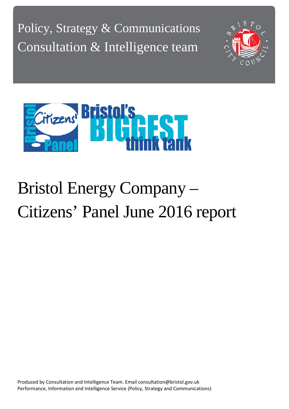Policy, Strategy & Communications Consultation & Intelligence team





# Bristol Energy Company – Citizens' Panel June 2016 report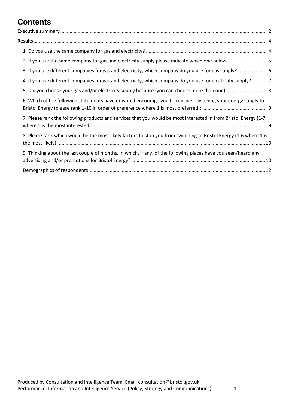# **Contents**

| 2. If you use the same company for gas and electricity supply please indicate which one below: 5                   |  |
|--------------------------------------------------------------------------------------------------------------------|--|
| 3. If you use different companies for gas and electricity, which company do you use for gas supply? 6              |  |
| 4. If you use different companies for gas and electricity, which company do you use for electricity supply? 7      |  |
|                                                                                                                    |  |
| 6. Which of the following statements have or would encourage you to consider switching your energy supply to       |  |
| 7. Please rank the following products and services that you would be most interested in from Bristol Energy (1-7   |  |
| 8. Please rank which would be the most likely factors to stop you from switching to Bristol Energy (1-6 where 1 is |  |
| 9. Thinking about the last couple of months, in which, if any, of the following places have you seen/heard any     |  |
|                                                                                                                    |  |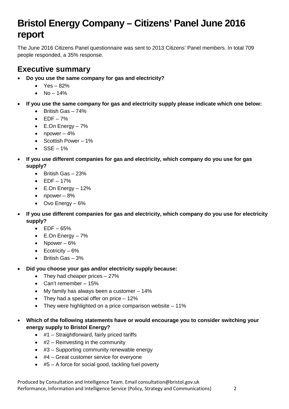# **Bristol Energy Company – Citizens' Panel June 2016 report**

The June 2016 Citizens Panel questionnaire was sent to 2013 Citizens' Panel members. In total 709 people responded, a 35% response.

### <span id="page-2-0"></span>**Executive summary**

- **Do you use the same company for gas and electricity?**
	- $Yes 82%$
	- $No 14%$
- **If you use the same company for gas and electricity supply please indicate which one below:**
	- British Gas 74%
	- $\bullet$  EDF 7%
	- E.On Energy 7%
	- npower  $-4\%$
	- Scottish Power 1%
	- $\bullet$  SSE 1%
- **If you use different companies for gas and electricity, which company do you use for gas supply?**
	- British Gas 23%
	- $\bullet$  EDF 17%
	- $\bullet$  E.On Energy 12%
	- npower  $-8\%$
	- Ovo Energy 6%
- **If you use different companies for gas and electricity, which company do you use for electricity supply?**
	- $\bullet$  EDF 65%
	- E.On Energy 7%
	- Npower  $6\%$
	- Ecotricity  $-6%$
	- British Gas 3%
- **Did you choose your gas and/or electricity supply because:**
	- They had cheaper prices  $-27%$
	- Can't remember 15%
	- My family has always been a customer 14%
	- They had a special offer on price 12%
	- They were highlighted on a price comparison website 11%
- **Which of the following statements have or would encourage you to consider switching your energy supply to Bristol Energy?**
	- #1 Straightforward, fairly priced tariffs
	- $\bullet$  #2 Reinvesting in the community
	- #3 Supporting community renewable energy
	- #4 Great customer service for everyone
	- #5 A force for social good, tackling fuel poverty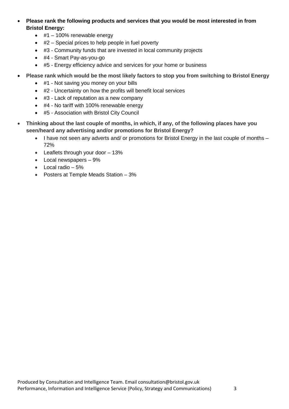- **Please rank the following products and services that you would be most interested in from Bristol Energy:**
	- $\cdot$  #1 100% renewable energy
	- #2 Special prices to help people in fuel poverty
	- #3 Community funds that are invested in local community projects
	- #4 Smart Pay-as-you-go
	- #5 Energy efficiency advice and services for your home or business
- **Please rank which would be the most likely factors to stop you from switching to Bristol Energy**
	- #1 Not saving you money on your bills
	- #2 Uncertainty on how the profits will benefit local services
	- #3 Lack of reputation as a new company
	- #4 No tariff with 100% renewable energy
	- #5 Association with Bristol City Council
- **Thinking about the last couple of months, in which, if any, of the following places have you seen/heard any advertising and/or promotions for Bristol Energy?**
	- I have not seen any adverts and/ or promotions for Bristol Energy in the last couple of months 72%
	- Leaflets through your door 13%
	- Local newspapers 9%
	- Local radio 5%
	- Posters at Temple Meads Station 3%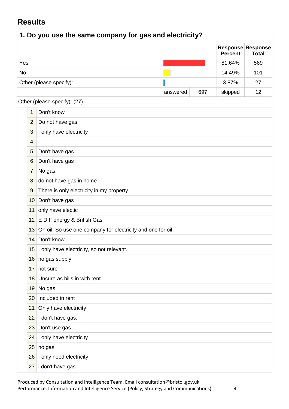## <span id="page-4-0"></span>**Results**

<span id="page-4-1"></span>

| 1. Do you use the same company for gas and electricity? |                 |                                                            |          |     |                |                                   |
|---------------------------------------------------------|-----------------|------------------------------------------------------------|----------|-----|----------------|-----------------------------------|
|                                                         |                 |                                                            |          |     | <b>Percent</b> | Response Response<br><b>Total</b> |
| Yes                                                     |                 |                                                            |          |     | 81.64%         | 569                               |
| No                                                      |                 |                                                            |          |     | 14.49%         | 101                               |
|                                                         |                 | Other (please specify):                                    |          |     | 3.87%          | 27                                |
|                                                         |                 |                                                            | answered | 697 | skipped        | 12                                |
|                                                         |                 | Other (please specify): (27)                               |          |     |                |                                   |
|                                                         | 1               | Don't know                                                 |          |     |                |                                   |
|                                                         | $\overline{2}$  | Do not have gas.                                           |          |     |                |                                   |
|                                                         | 3               | I only have electricity                                    |          |     |                |                                   |
|                                                         | 4               |                                                            |          |     |                |                                   |
|                                                         | 5               | Don't have gas.                                            |          |     |                |                                   |
|                                                         | 6               | Don't have gas                                             |          |     |                |                                   |
|                                                         | $\overline{7}$  | No gas                                                     |          |     |                |                                   |
|                                                         | 8               | do not have gas in home                                    |          |     |                |                                   |
|                                                         | 9               | There is only electricity in my property                   |          |     |                |                                   |
|                                                         | 10 <sup>°</sup> | Don't have gas                                             |          |     |                |                                   |
|                                                         | 11              | only have electic                                          |          |     |                |                                   |
|                                                         | 12 <sup>2</sup> | E D F energy & British Gas                                 |          |     |                |                                   |
|                                                         | 13              | On oil. So use one company for electricity and one for oil |          |     |                |                                   |
|                                                         | 14              | Don't know                                                 |          |     |                |                                   |
|                                                         |                 | 15 I only have electricity, so not relevant.               |          |     |                |                                   |
|                                                         |                 | 16 no gas supply                                           |          |     |                |                                   |
|                                                         | 17              | not sure                                                   |          |     |                |                                   |
|                                                         | 18              | Unsure as bills in with rent                               |          |     |                |                                   |
|                                                         | 19              | No gas                                                     |          |     |                |                                   |
|                                                         | 20              | Included in rent                                           |          |     |                |                                   |
|                                                         | 21              | Only have electricity                                      |          |     |                |                                   |
|                                                         | 22              | I don't have gas.                                          |          |     |                |                                   |
|                                                         | 23              | Don't use gas                                              |          |     |                |                                   |
|                                                         | 24              | I only have electricity                                    |          |     |                |                                   |
|                                                         | 25              | no gas                                                     |          |     |                |                                   |
|                                                         | 26              | I only need electricity                                    |          |     |                |                                   |
|                                                         | 27              | i don't have gas                                           |          |     |                |                                   |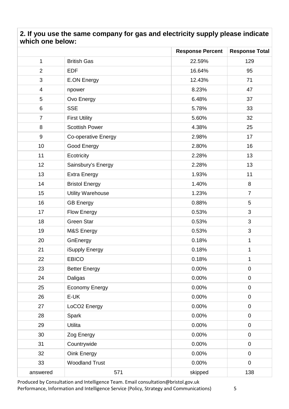#### <span id="page-5-0"></span>**2. If you use the same company for gas and electricity supply please indicate which one below:**

|                          |                          | <b>Response Percent</b> | <b>Response Total</b> |
|--------------------------|--------------------------|-------------------------|-----------------------|
| $\mathbf{1}$             | <b>British Gas</b>       | 22.59%                  | 129                   |
| $\overline{2}$           | <b>EDF</b>               | 16.64%                  | 95                    |
| 3                        | <b>E.ON Energy</b>       | 12.43%                  | 71                    |
| $\overline{\mathcal{A}}$ | npower                   | 8.23%                   | 47                    |
| 5                        | Ovo Energy               | 6.48%                   | 37                    |
| 6                        | <b>SSE</b>               | 5.78%                   | 33                    |
| $\overline{7}$           | <b>First Utility</b>     | 5.60%                   | 32                    |
| 8                        | <b>Scottish Power</b>    | 4.38%                   | 25                    |
| $\boldsymbol{9}$         | Co-operative Energy      | 2.98%                   | 17                    |
| 10                       | Good Energy              | 2.80%                   | 16                    |
| 11                       | Ecotricity               | 2.28%                   | 13                    |
| 12                       | Sainsbury's Energy       | 2.28%                   | 13                    |
| 13                       | <b>Extra Energy</b>      | 1.93%                   | 11                    |
| 14                       | <b>Bristol Energy</b>    | 1.40%                   | 8                     |
| 15                       | <b>Utility Warehouse</b> | 1.23%                   | $\overline{7}$        |
| 16                       | <b>GB Energy</b>         | 0.88%                   | 5                     |
| 17                       | <b>Flow Energy</b>       | 0.53%                   | 3                     |
| 18                       | <b>Green Star</b>        | 0.53%                   | 3                     |
| 19                       | M&S Energy               | 0.53%                   | 3                     |
| 20                       | GnEnergy                 | 0.18%                   | $\mathbf 1$           |
| 21                       | iSupply Energy           | 0.18%                   | 1                     |
| 22                       | <b>EBICO</b>             | 0.18%                   | $\mathbf 1$           |
| 23                       | <b>Better Energy</b>     | 0.00%                   | 0                     |
| 24                       | Daligas                  | 0.00%                   | $\pmb{0}$             |
| 25                       | <b>Economy Energy</b>    | 0.00%                   | $\mathbf 0$           |
| 26                       | E-UK                     | 0.00%                   | $\pmb{0}$             |
| 27                       | LoCO <sub>2</sub> Energy | 0.00%                   | $\mathbf 0$           |
| 28                       | Spark                    | 0.00%                   | $\mathbf 0$           |
| 29                       | Utilita                  | 0.00%                   | $\mathbf 0$           |
| 30                       | Zog Energy               | 0.00%                   | $\pmb{0}$             |
| 31                       | Countrywide              | 0.00%                   | $\pmb{0}$             |
| 32                       | Oink Energy              | 0.00%                   | $\mathbf 0$           |
| 33                       | <b>Woodland Trust</b>    | 0.00%                   | $\mathbf 0$           |
| answered                 | 571                      | skipped                 | 138                   |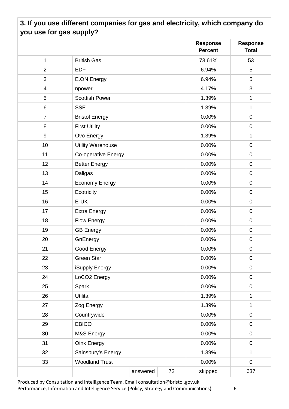### <span id="page-6-0"></span>**3. If you use different companies for gas and electricity, which company do you use for gas supply?**

|                          |                          |          |    | <b>Response</b><br><b>Percent</b> | <b>Response</b><br><b>Total</b> |
|--------------------------|--------------------------|----------|----|-----------------------------------|---------------------------------|
| 1                        | <b>British Gas</b>       |          |    | 73.61%                            | 53                              |
| $\overline{2}$           | <b>EDF</b>               |          |    | 6.94%                             | 5                               |
| 3                        | <b>E.ON Energy</b>       |          |    | 6.94%                             | 5                               |
| $\overline{\mathcal{A}}$ | npower                   |          |    | 4.17%                             | 3                               |
| 5                        | <b>Scottish Power</b>    |          |    | 1.39%                             | 1                               |
| 6                        | <b>SSE</b>               |          |    | 1.39%                             | 1                               |
| $\overline{7}$           | <b>Bristol Energy</b>    |          |    | 0.00%                             | $\mathbf 0$                     |
| 8                        | <b>First Utility</b>     |          |    | 0.00%                             | $\pmb{0}$                       |
| $\boldsymbol{9}$         | Ovo Energy               |          |    | 1.39%                             | 1                               |
| 10                       | <b>Utility Warehouse</b> |          |    | 0.00%                             | $\mathbf 0$                     |
| 11                       | Co-operative Energy      |          |    | 0.00%                             | $\mathbf 0$                     |
| 12                       | <b>Better Energy</b>     |          |    | 0.00%                             | $\mathbf 0$                     |
| 13                       | Daligas                  |          |    | 0.00%                             | $\mathbf 0$                     |
| 14                       | <b>Economy Energy</b>    |          |    | 0.00%                             | $\pmb{0}$                       |
| 15                       | Ecotricity               |          |    | 0.00%                             | $\pmb{0}$                       |
| 16                       | E-UK                     |          |    | 0.00%                             | $\mathbf 0$                     |
| 17                       | <b>Extra Energy</b>      |          |    | 0.00%                             | $\mathbf 0$                     |
| 18                       | <b>Flow Energy</b>       |          |    | 0.00%                             | $\mathbf 0$                     |
| 19                       | <b>GB Energy</b>         |          |    | 0.00%                             | $\pmb{0}$                       |
| 20                       | GnEnergy                 |          |    | 0.00%                             | $\mathbf 0$                     |
| 21                       | Good Energy              |          |    | 0.00%                             | $\pmb{0}$                       |
| 22                       | <b>Green Star</b>        |          |    | 0.00%                             | $\mathbf 0$                     |
| 23                       | iSupply Energy           |          |    | 0.00%                             | $\pmb{0}$                       |
| 24                       | LoCO <sub>2</sub> Energy |          |    | 0.00%                             | $\mathbf 0$                     |
| 25                       | Spark                    |          |    | 0.00%                             | $\mathbf 0$                     |
| 26                       | Utilita                  |          |    | 1.39%                             | $\mathbf{1}$                    |
| 27                       | Zog Energy               |          |    | 1.39%                             | 1                               |
| 28                       | Countrywide              |          |    | 0.00%                             | $\mathbf 0$                     |
| 29                       | <b>EBICO</b>             |          |    | 0.00%                             | $\mathbf 0$                     |
| 30                       | M&S Energy               |          |    | 0.00%                             | $\mathbf 0$                     |
| 31                       | Oink Energy              |          |    | 0.00%                             | $\mathbf 0$                     |
| 32                       | Sainsbury's Energy       |          |    | 1.39%                             | $\mathbf{1}$                    |
| 33                       | <b>Woodland Trust</b>    |          |    | 0.00%                             | $\pmb{0}$                       |
|                          |                          | answered | 72 | skipped                           | 637                             |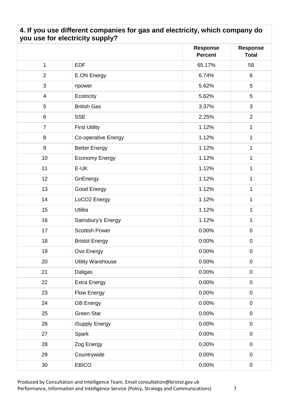#### <span id="page-7-0"></span>**4. If you use different companies for gas and electricity, which company do you use for electricity supply?**

|                  |                          | <b>Response</b><br><b>Percent</b> | <b>Response</b><br><b>Total</b> |
|------------------|--------------------------|-----------------------------------|---------------------------------|
| $\mathbf 1$      | <b>EDF</b>               | 65.17%                            | 58                              |
| $\overline{2}$   | <b>E.ON Energy</b>       | 6.74%                             | 6                               |
| 3                | npower                   | 5.62%                             | 5                               |
| $\overline{4}$   | Ecotricity               | 5.62%                             | 5                               |
| 5                | <b>British Gas</b>       | 3.37%                             | 3                               |
| 6                | <b>SSE</b>               | 2.25%                             | $\overline{2}$                  |
| $\overline{7}$   | <b>First Utility</b>     | 1.12%                             | $\mathbf 1$                     |
| 8                | Co-operative Energy      | 1.12%                             | $\mathbf{1}$                    |
| $\boldsymbol{9}$ | <b>Better Energy</b>     | 1.12%                             | $\mathbf 1$                     |
| 10               | <b>Economy Energy</b>    | 1.12%                             | $\mathbf 1$                     |
| 11               | E-UK                     | 1.12%                             | 1                               |
| 12               | GnEnergy                 | 1.12%                             | $\mathbf{1}$                    |
| 13               | Good Energy              | 1.12%                             | $\mathbf{1}$                    |
| 14               | LoCO <sub>2</sub> Energy | 1.12%                             | $\mathbf 1$                     |
| 15               | Utilita                  | 1.12%                             | 1                               |
| 16               | Sainsbury's Energy       | 1.12%                             | $\mathbf{1}$                    |
| 17               | <b>Scottish Power</b>    | 0.00%                             | $\mathbf 0$                     |
| 18               | <b>Bristol Energy</b>    | 0.00%                             | $\pmb{0}$                       |
| 19               | Ovo Energy               | 0.00%                             | $\pmb{0}$                       |
| 20               | <b>Utility Warehouse</b> | 0.00%                             | $\mathbf 0$                     |
| 21               | Daligas                  | $0.00\%$                          | $\pmb{0}$                       |
| 22               | <b>Extra Energy</b>      | 0.00%                             | $\pmb{0}$                       |
| 23               | Flow Energy              | 0.00%                             | $\pmb{0}$                       |
| 24               | <b>GB Energy</b>         | 0.00%                             | $\mathbf 0$                     |
| 25               | Green Star               | 0.00%                             | $\pmb{0}$                       |
| 26               | iSupply Energy           | 0.00%                             | $\mathbf 0$                     |
| 27               | Spark                    | 0.00%                             | $\mathbf 0$                     |
| 28               | Zog Energy               | 0.00%                             | $\boldsymbol{0}$                |
| 29               | Countrywide              | 0.00%                             | $\mathbf 0$                     |
| 30               | <b>EBICO</b>             | $0.00\%$                          | $\pmb{0}$                       |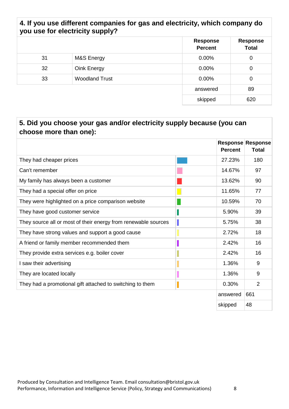#### **4. If you use different companies for gas and electricity, which company do you use for electricity supply?**

|    |                       | <b>Response</b><br><b>Percent</b> | <b>Response</b><br><b>Total</b> |
|----|-----------------------|-----------------------------------|---------------------------------|
| 31 | M&S Energy            | 0.00%                             | 0                               |
| 32 | Oink Energy           | 0.00%                             | 0                               |
| 33 | <b>Woodland Trust</b> | 0.00%                             | 0                               |
|    |                       | answered                          | 89                              |
|    |                       | skipped                           | 620                             |

<span id="page-8-0"></span>

| 5. Did you choose your gas and/or electricity supply because (you can<br>choose more than one): |  |                |                                          |  |  |
|-------------------------------------------------------------------------------------------------|--|----------------|------------------------------------------|--|--|
|                                                                                                 |  | <b>Percent</b> | <b>Response Response</b><br><b>Total</b> |  |  |
| They had cheaper prices                                                                         |  | 27.23%         | 180                                      |  |  |
| Can't remember                                                                                  |  | 14.67%         | 97                                       |  |  |
| My family has always been a customer                                                            |  | 13.62%         | 90                                       |  |  |
| They had a special offer on price                                                               |  | 11.65%         | 77                                       |  |  |
| They were highlighted on a price comparison website                                             |  | 10.59%         | 70                                       |  |  |
| They have good customer service                                                                 |  | 5.90%          | 39                                       |  |  |
| They source all or most of their energy from renewable sources                                  |  | 5.75%          | 38                                       |  |  |
| They have strong values and support a good cause                                                |  | 2.72%          | 18                                       |  |  |
| A friend or family member recommended them                                                      |  | 2.42%          | 16                                       |  |  |
| They provide extra services e.g. boiler cover                                                   |  | 2.42%          | 16                                       |  |  |
| I saw their advertising                                                                         |  | 1.36%          | 9                                        |  |  |
| They are located locally                                                                        |  | 1.36%          | 9                                        |  |  |
| They had a promotional gift attached to switching to them                                       |  | 0.30%          | $\overline{2}$                           |  |  |
|                                                                                                 |  | answered       | 661                                      |  |  |
|                                                                                                 |  | skipped        | 48                                       |  |  |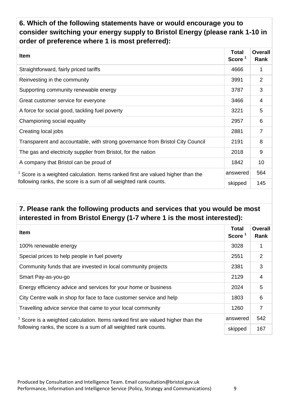<span id="page-9-0"></span>**6. Which of the following statements have or would encourage you to consider switching your energy supply to Bristol Energy (please rank 1-10 in order of preference where 1 is most preferred):** 

| <b>Item</b>                                                                                | <b>Total</b><br>Score <sup>1</sup> | <b>Overall</b><br>Rank |
|--------------------------------------------------------------------------------------------|------------------------------------|------------------------|
| Straightforward, fairly priced tariffs                                                     | 4666                               | 1                      |
| Reinvesting in the community                                                               | 3991                               | $\overline{2}$         |
| Supporting community renewable energy                                                      | 3787                               | 3                      |
| Great customer service for everyone                                                        | 3466                               | $\overline{4}$         |
| A force for social good, tackling fuel poverty                                             | 3221                               | 5                      |
| Championing social equality                                                                | 2957                               | 6                      |
| Creating local jobs                                                                        | 2881                               | $\overline{7}$         |
| Transparent and accountable, with strong governance from Bristol City Council              | 2191                               | 8                      |
| The gas and electricity supplier from Bristol, for the nation                              | 2018                               | 9                      |
| A company that Bristol can be proud of                                                     | 1842                               | 10                     |
| answered<br>Score is a weighted calculation. Items ranked first are valued higher than the |                                    | 564                    |
| following ranks, the score is a sum of all weighted rank counts.                           | skipped                            | 145                    |

#### <span id="page-9-1"></span>**7. Please rank the following products and services that you would be most interested in from Bristol Energy (1-7 where 1 is the most interested):**

| <b>Item</b>                                                                                    | <b>Total</b><br>Score $1$ | <b>Overall</b><br>Rank |
|------------------------------------------------------------------------------------------------|---------------------------|------------------------|
| 100% renewable energy                                                                          | 3028                      | 1                      |
| Special prices to help people in fuel poverty                                                  | 2551                      | 2                      |
| Community funds that are invested in local community projects                                  | 2381                      | 3                      |
| Smart Pay-as-you-go                                                                            | 2129                      | $\overline{4}$         |
| Energy efficiency advice and services for your home or business                                | 2024                      | 5                      |
| City Centre walk in shop for face to face customer service and help                            | 1803                      | 6                      |
| Travelling advice service that came to your local community                                    | 1260                      | $\overline{7}$         |
| answered<br>$1$ Score is a weighted calculation. Items ranked first are valued higher than the |                           | 542                    |
| following ranks, the score is a sum of all weighted rank counts.                               | skipped                   | 167                    |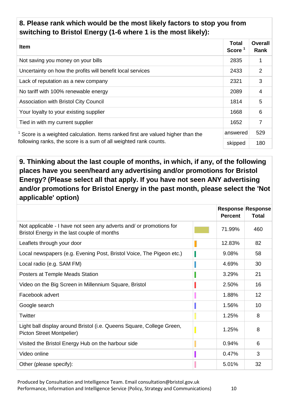#### <span id="page-10-0"></span>**8. Please rank which would be the most likely factors to stop you from switching to Bristol Energy (1-6 where 1 is the most likely):**

| <b>Item</b>                                                                                                                                                        | <b>Total</b><br>Score $1$ | <b>Overall</b><br>Rank |
|--------------------------------------------------------------------------------------------------------------------------------------------------------------------|---------------------------|------------------------|
| Not saving you money on your bills                                                                                                                                 | 2835                      |                        |
| Uncertainty on how the profits will benefit local services                                                                                                         | 2433                      | 2                      |
| Lack of reputation as a new company                                                                                                                                | 2321                      | 3                      |
| No tariff with 100% renewable energy                                                                                                                               | 2089                      | 4                      |
| <b>Association with Bristol City Council</b>                                                                                                                       | 1814                      | 5                      |
| Your loyalty to your existing supplier                                                                                                                             | 1668                      | 6                      |
| Tied in with my current supplier                                                                                                                                   | 1652                      | 7                      |
| answered<br>$1$ Score is a weighted calculation. Items ranked first are valued higher than the<br>following ranks, the score is a sum of all weighted rank counts. |                           | 529                    |
|                                                                                                                                                                    |                           | 180                    |

<span id="page-10-1"></span>**9. Thinking about the last couple of months, in which, if any, of the following places have you seen/heard any advertising and/or promotions for Bristol Energy? (Please select all that apply. If you have not seen ANY advertising and/or promotions for Bristol Energy in the past month, please select the 'Not applicable' option)**

|                                                                                                                    | <b>Percent</b> | <b>Response Response</b><br><b>Total</b> |
|--------------------------------------------------------------------------------------------------------------------|----------------|------------------------------------------|
| Not applicable - I have not seen any adverts and/ or promotions for<br>Bristol Energy in the last couple of months | 71.99%         | 460                                      |
| Leaflets through your door                                                                                         | 12.83%         | 82                                       |
| Local newspapers (e.g. Evening Post, Bristol Voice, The Pigeon etc.)                                               | 9.08%          | 58                                       |
| Local radio (e.g. SAM FM)                                                                                          | 4.69%          | 30                                       |
| Posters at Temple Meads Station                                                                                    | 3.29%          | 21                                       |
| Video on the Big Screen in Millennium Square, Bristol                                                              | 2.50%          | 16                                       |
| Facebook advert                                                                                                    | 1.88%          | 12                                       |
| Google search                                                                                                      | 1.56%          | 10                                       |
| Twitter                                                                                                            | 1.25%          | 8                                        |
| Light ball display around Bristol (i.e. Queens Square, College Green,<br>Picton Street Montpelier)                 | 1.25%          | 8                                        |
| Visited the Bristol Energy Hub on the harbour side                                                                 | 0.94%          | 6                                        |
| Video online                                                                                                       | 0.47%          | 3                                        |
| Other (please specify):                                                                                            | 5.01%          | 32                                       |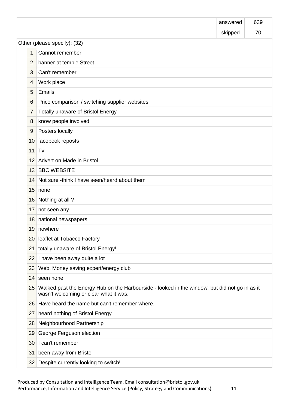|                              |                                                                                                                                         | answered | 639 |
|------------------------------|-----------------------------------------------------------------------------------------------------------------------------------------|----------|-----|
|                              |                                                                                                                                         | skipped  | 70  |
| Other (please specify): (32) |                                                                                                                                         |          |     |
| 1                            | Cannot remember                                                                                                                         |          |     |
| $\overline{2}$               | banner at temple Street                                                                                                                 |          |     |
| 3                            | Can't remember                                                                                                                          |          |     |
| 4                            | Work place                                                                                                                              |          |     |
| 5                            | Emails                                                                                                                                  |          |     |
| 6                            | Price comparison / switching supplier websites                                                                                          |          |     |
| 7                            | <b>Totally unaware of Bristol Energy</b>                                                                                                |          |     |
| 8                            | know people involved                                                                                                                    |          |     |
| 9                            | Posters locally                                                                                                                         |          |     |
| 10 <sup>1</sup>              | facebook reposts                                                                                                                        |          |     |
| 11                           | Tv                                                                                                                                      |          |     |
| 12 <sup>2</sup>              | Advert on Made in Bristol                                                                                                               |          |     |
|                              | 13 BBC WEBSITE                                                                                                                          |          |     |
| 14                           | Not sure -think I have seen/heard about them                                                                                            |          |     |
| 15 <sub>15</sub>             | none                                                                                                                                    |          |     |
| 16                           | Nothing at all?                                                                                                                         |          |     |
| 17                           | not seen any                                                                                                                            |          |     |
| 18                           | national newspapers                                                                                                                     |          |     |
| 19                           | nowhere                                                                                                                                 |          |     |
| 20                           | leaflet at Tobacco Factory                                                                                                              |          |     |
| 21                           | totally unaware of Bristol Energy!                                                                                                      |          |     |
| 22                           | I have been away quite a lot                                                                                                            |          |     |
| 23                           | Web. Money saving expert/energy club                                                                                                    |          |     |
| 24                           | seen none                                                                                                                               |          |     |
| 25                           | Walked past the Energy Hub on the Harbourside - looked in the window, but did not go in as it<br>wasn't welcoming or clear what it was. |          |     |
| 26                           | Have heard the name but can't remember where.                                                                                           |          |     |
| 27 <sup>1</sup>              | heard nothing of Bristol Energy                                                                                                         |          |     |
| 28                           | Neighbourhood Partnership                                                                                                               |          |     |
| 29                           | George Ferguson election                                                                                                                |          |     |
| 30                           | I can't remember                                                                                                                        |          |     |
| 31                           | been away from Bristol                                                                                                                  |          |     |
| 32                           | Despite currently looking to switch!                                                                                                    |          |     |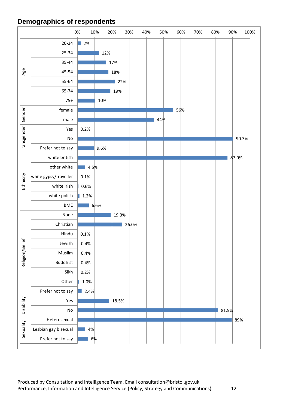#### <span id="page-12-0"></span>**Demographics of respondents**